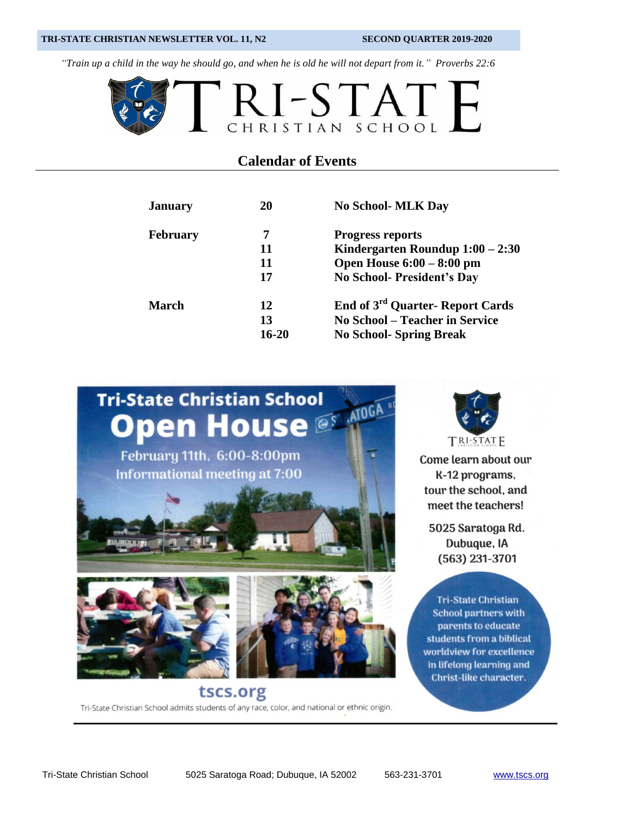#### **TRI-STATE CHRISTIAN NEWSLETTER VOL. 11, N2 SECOND QUARTER 2019-2020**

*"Train up a child in the way he should go, and when he is old he will not depart from it." Proverbs 22:6*



#### **Calendar of Events**

| <b>January</b>  | 20    | <b>No School- MLK Day</b>                          |
|-----------------|-------|----------------------------------------------------|
| <b>February</b> | 7     | <b>Progress reports</b>                            |
|                 | 11    | Kindergarten Roundup $1:00 - 2:30$                 |
|                 | 11    | Open House $6:00 - 8:00$ pm                        |
|                 | 17    | <b>No School- President's Day</b>                  |
| March           | 12    | <b>End of 3<sup>rd</sup> Quarter- Report Cards</b> |
|                 | 13    | <b>No School – Teacher in Service</b>              |
|                 | 16-20 | <b>No School-Spring Break</b>                      |



Tri-State Christian School admits students of any race, color, and national or ethnic origin.



TRI-STATE

Come learn about our K-12 programs, tour the school, and meet the teachers!

5025 Saratoga Rd. Dubuque, IA  $(563)$  231-3701

**Tri-State Christian School partners with** parents to educate students from a biblical worldview for excellence in lifelong learning and Christ-like character.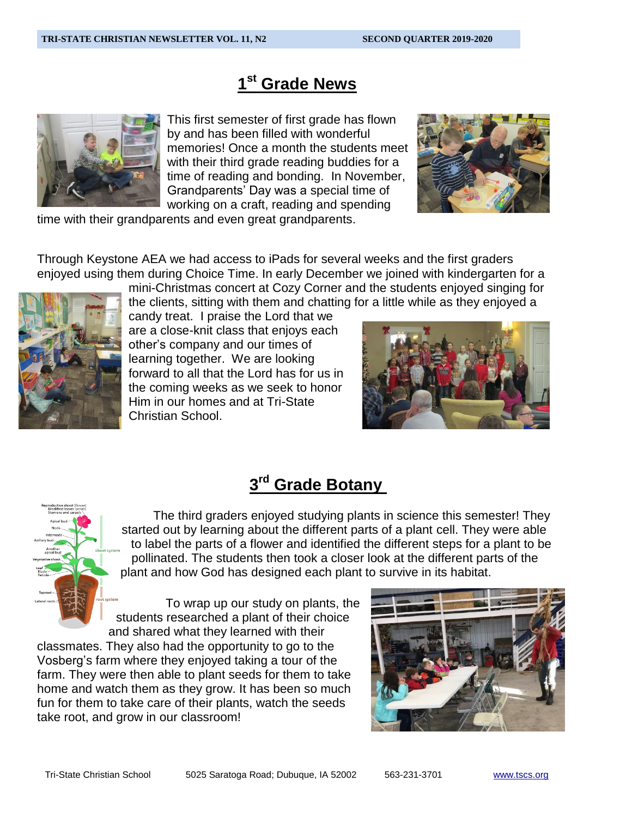# **1 st Grade News**



This first semester of first grade has flown by and has been filled with wonderful memories! Once a month the students meet with their third grade reading buddies for a time of reading and bonding. In November, Grandparents' Day was a special time of working on a craft, reading and spending



time with their grandparents and even great grandparents.

Through Keystone AEA we had access to iPads for several weeks and the first graders enjoyed using them during Choice Time. In early December we joined with kindergarten for a



mini-Christmas concert at Cozy Corner and the students enjoyed singing for the clients, sitting with them and chatting for a little while as they enjoyed a

candy treat. I praise the Lord that we are a close-knit class that enjoys each other's company and our times of learning together. We are looking forward to all that the Lord has for us in the coming weeks as we seek to honor Him in our homes and at Tri-State Christian School.



# **3 rd Grade Botany**



The third graders enjoyed studying plants in science this semester! They started out by learning about the different parts of a plant cell. They were able to label the parts of a flower and identified the different steps for a plant to be pollinated. The students then took a closer look at the different parts of the plant and how God has designed each plant to survive in its habitat.

To wrap up our study on plants, the students researched a plant of their choice and shared what they learned with their

classmates. They also had the opportunity to go to the Vosberg's farm where they enjoyed taking a tour of the farm. They were then able to plant seeds for them to take home and watch them as they grow. It has been so much fun for them to take care of their plants, watch the seeds take root, and grow in our classroom!